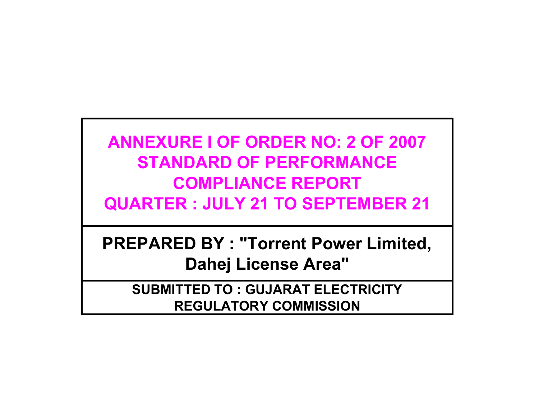# **ANNEXURE I OF ORDER NO: 2 OF 2007 STANDARD OF PERFORMANCE COMPLIANCE REPORT QUARTER : JULY 21 TO SEPTEMBER 21**

**PREPARED BY : "Torrent Power Limited, Dahej License Area"**

**SUBMITTED TO : GUJARAT ELECTRICITY REGULATORY COMMISSION**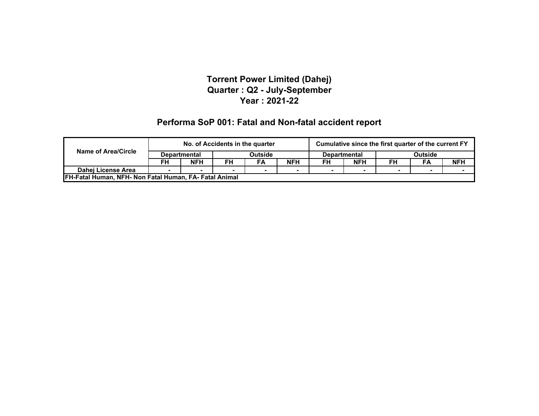#### **Performa SoP 001: Fatal and Non-fatal accident report**

|                                                              |    | No. of Accidents in the quarter |                                       |    |            | Cumulative since the first quarter of the current FY |                |    |    |            |
|--------------------------------------------------------------|----|---------------------------------|---------------------------------------|----|------------|------------------------------------------------------|----------------|----|----|------------|
| <b>Name of Area/Circle</b>                                   |    | <b>Departmental</b>             | <b>Outside</b><br><b>Departmental</b> |    |            |                                                      | <b>Outside</b> |    |    |            |
|                                                              | FH | <b>NFH</b>                      | FH                                    | FA | <b>NFH</b> | FH                                                   | <b>NFH</b>     | FH | FA | <b>NFH</b> |
| Dahej License Area                                           |    |                                 |                                       |    |            |                                                      |                |    |    |            |
| <b>FH-Fatal Human, NFH- Non Fatal Human, FA-Fatal Animal</b> |    |                                 |                                       |    |            |                                                      |                |    |    |            |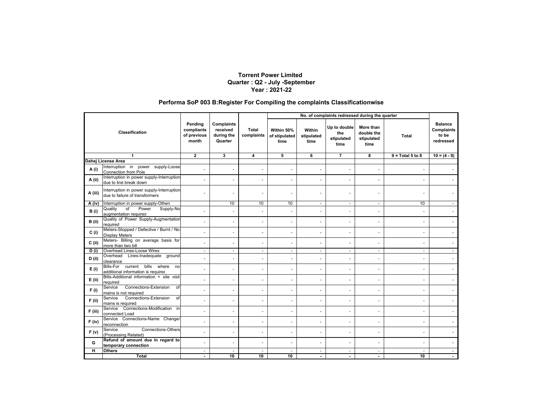#### **Performa SoP 003 B:Register For Compiling the complaints Classificationwise**

|                       |                                                                             |                                               |                                                 |                     | No. of complaints redressed during the quarter |                              |                                           |                                               |                          |                                                           |
|-----------------------|-----------------------------------------------------------------------------|-----------------------------------------------|-------------------------------------------------|---------------------|------------------------------------------------|------------------------------|-------------------------------------------|-----------------------------------------------|--------------------------|-----------------------------------------------------------|
| <b>Classification</b> |                                                                             | Pending<br>compliants<br>of previous<br>month | Complaints<br>received<br>during the<br>Quarter | Total<br>complaints | Within 50%<br>of stipulated<br>time            | Within<br>stipulated<br>time | Up to double<br>the<br>stipulated<br>time | More than<br>double the<br>stipulated<br>time | Total                    | <b>Balance</b><br><b>Complaints</b><br>to be<br>redressed |
|                       | 1                                                                           | $\mathbf 2$                                   | 3                                               | 4                   | 5                                              | 6                            | $\overline{7}$                            | 8                                             | $9 = Total 5 to 8$       | $10 = (4 - 9)$                                            |
|                       | Dahej License Area                                                          |                                               |                                                 |                     |                                                |                              |                                           |                                               |                          |                                                           |
| A (i)                 | Interruption in power supply-Loose<br>Connection from Pole                  |                                               | ٠                                               |                     | ÷,                                             | $\blacksquare$               | $\blacksquare$                            | $\sim$                                        | $\overline{\phantom{a}}$ |                                                           |
| A (ii)                | Interruption in power supply-Interruption<br>due to line break down         |                                               |                                                 |                     | ÷                                              | $\overline{\phantom{a}}$     |                                           |                                               |                          |                                                           |
| A (iii)               | Interruption in power supply-Interruption<br>due to failure of transformers |                                               |                                                 |                     |                                                |                              |                                           |                                               |                          |                                                           |
| A (iv)                | Interruption in power supply-Others                                         |                                               | 10                                              | 10                  | 10                                             | $\sim$                       | $\sim$                                    | $\sim$                                        | 10                       |                                                           |
| B(i)                  | Supply-No<br>Quality<br>$\circ$ f<br>Power<br>augmentation required         |                                               |                                                 |                     | Ĭ.                                             |                              |                                           |                                               |                          |                                                           |
| B (ii)                | Quality of Power Supply-Augmentation<br>required                            | $\sim$                                        | ٠                                               | ÷.                  | $\overline{\phantom{m}}$                       | $\blacksquare$               | $\sim$                                    | $\sim$                                        | $\sim$                   |                                                           |
| C(i)                  | Meters-Stopped / Defective / Burnt / No<br><b>Display Meters</b>            |                                               | ä,                                              |                     | L.                                             | $\blacksquare$               |                                           |                                               |                          |                                                           |
| $C$ (ii)              | Meters- Billing on average basis for<br>more than two bill                  | $\ddot{\phantom{1}}$                          | L,                                              |                     | ä,                                             | $\overline{\phantom{a}}$     |                                           |                                               |                          |                                                           |
| D(i)                  | Overhead Lines-Loose Wires                                                  | $\sim$                                        | $\sim$                                          | $\sim$              | $\sim$                                         | $\blacksquare$               | $\sim$                                    | $\sim$                                        | $\sim$                   |                                                           |
| D(i)                  | Overhead Lines-Inadequate ground<br>clearance                               |                                               | ä,                                              |                     | ÷.                                             | $\sim$                       |                                           | ÷,                                            |                          |                                                           |
| E(i)                  | Bills-For current bills where no<br>additional information is required      |                                               | ä,                                              |                     | L.                                             | $\sim$                       |                                           |                                               |                          |                                                           |
| $E$ (ii)              | Bills-Additional information + site visit<br>required                       | $\sim$                                        | ٠                                               |                     | ٠                                              | $\blacksquare$               | $\ddot{\phantom{1}}$                      | $\ddot{\phantom{1}}$                          | $\blacksquare$           |                                                           |
| F(i)                  | Connections-Extension<br>Service<br>of<br>mains is not required             |                                               |                                                 |                     |                                                |                              |                                           |                                               |                          |                                                           |
| $F$ (ii)              | Connections-Extension<br>Service<br>of<br>mains is required                 | $\overline{\phantom{a}}$                      | ٠                                               | ٠                   | $\overline{\phantom{m}}$                       | $\blacksquare$               | $\blacksquare$                            | $\overline{\phantom{a}}$                      | $\blacksquare$           |                                                           |
| F (iii)               | Service Connections-Modification in<br>connected Load                       |                                               | ä,                                              |                     | ä,                                             | $\sim$                       |                                           |                                               | $\overline{\phantom{a}}$ |                                                           |
| $F$ (iv)              | Service Connections-Name Change/<br>reconnection                            |                                               | ä,                                              |                     | ÷,                                             | $\ddot{\phantom{1}}$         |                                           |                                               |                          |                                                           |
| F(v)                  | Connections-Others<br>Service<br>(Processing Related)                       | $\sim$                                        | ä,                                              | ٠                   | ä,                                             | $\mathbf{r}$                 | $\ddot{\phantom{1}}$                      | $\sim$                                        | $\blacksquare$           |                                                           |
| G                     | Refund of amount due in regard to<br>temporary connection                   |                                               | L.                                              |                     | ä,                                             | $\sim$                       |                                           |                                               |                          |                                                           |
| н.                    | <b>Others</b>                                                               | ÷.                                            | ÷.                                              | $\overline{a}$      | ÷                                              | $\sim$                       | $\sim$                                    | $\sim$                                        | $\overline{a}$           |                                                           |
|                       | Total                                                                       |                                               | 10                                              | 10                  | 10                                             |                              |                                           |                                               | 10                       |                                                           |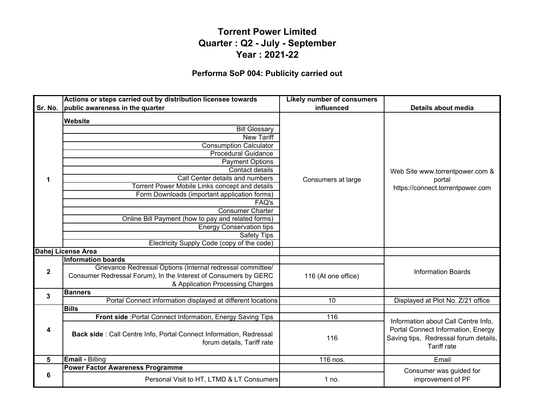#### **Performa SoP 004: Publicity carried out**

|              | Actions or steps carried out by distribution licensee towards                                                                                                                                                                                                                                                                                                                                                                                                                                                 | <b>Likely number of consumers</b> |                                                                                                                                          |
|--------------|---------------------------------------------------------------------------------------------------------------------------------------------------------------------------------------------------------------------------------------------------------------------------------------------------------------------------------------------------------------------------------------------------------------------------------------------------------------------------------------------------------------|-----------------------------------|------------------------------------------------------------------------------------------------------------------------------------------|
| Sr. No.      | public awareness in the quarter                                                                                                                                                                                                                                                                                                                                                                                                                                                                               | influenced                        | Details about media                                                                                                                      |
| 1            | <b>Website</b><br><b>Bill Glossary</b><br><b>New Tariff</b><br><b>Consumption Calculator</b><br><b>Procedural Guidance</b><br><b>Payment Options</b><br>Contact details<br>Call Center details and numbers<br>Torrent Power Mobile Links concept and details<br>Form Downloads (important application forms)<br>FAQ's<br><b>Consumer Charter</b><br>Online Bill Payment (how to pay and related forms)<br><b>Energy Conservation tips</b><br><b>Safety Tips</b><br>Electricity Supply Code (copy of the code) | Consumers at large                | Web Site www.torrentpower.com &<br>portal<br>https://connect.torrentpower.com                                                            |
|              | <b>Dahej License Area</b>                                                                                                                                                                                                                                                                                                                                                                                                                                                                                     |                                   |                                                                                                                                          |
| $\mathbf{2}$ | <b>Information boards</b><br>Grievance Redressal Options (Internal redressal committee/<br>Consumer Redressal Forum), In the Interest of Consumers by GERC<br>& Application Processing Charges                                                                                                                                                                                                                                                                                                                | 116 (At one office)               | <b>Information Boards</b>                                                                                                                |
| 3            | <b>Banners</b>                                                                                                                                                                                                                                                                                                                                                                                                                                                                                                |                                   |                                                                                                                                          |
|              | Portal Connect information displayed at different locations                                                                                                                                                                                                                                                                                                                                                                                                                                                   | $\overline{10}$                   | Displayed at Plot No. Z/21 office                                                                                                        |
|              | <b>Bills</b><br>Front side : Portal Connect Information, Energy Saving Tips                                                                                                                                                                                                                                                                                                                                                                                                                                   | 116                               |                                                                                                                                          |
| 4            | Back side : Call Centre Info, Portal Connect Information, Redressal<br>forum details, Tariff rate                                                                                                                                                                                                                                                                                                                                                                                                             | 116                               | Information about Call Centre Info.<br>Portal Connect Information, Energy<br>Saving tips, Redressal forum details,<br><b>Tariff rate</b> |
| 5            | <b>Email - Billing</b>                                                                                                                                                                                                                                                                                                                                                                                                                                                                                        | $\overline{116}$ nos.             | Email                                                                                                                                    |
|              | <b>Power Factor Awareness Programme</b>                                                                                                                                                                                                                                                                                                                                                                                                                                                                       |                                   | Consumer was guided for                                                                                                                  |
| 6            | Personal Visit to HT, LTMD & LT Consumers                                                                                                                                                                                                                                                                                                                                                                                                                                                                     | 1 no.                             | improvement of PF                                                                                                                        |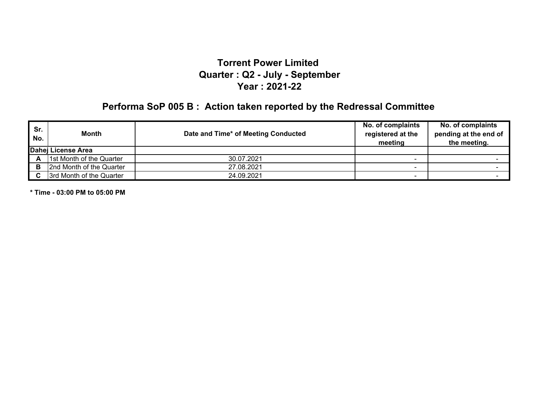# **Performa SoP 005 B : Action taken reported by the Redressal Committee**

| Sr.<br>No. | Month                    | Date and Time* of Meeting Conducted | No. of complaints<br>registered at the<br>meeting | No. of complaints<br>pending at the end of<br>the meeting. |
|------------|--------------------------|-------------------------------------|---------------------------------------------------|------------------------------------------------------------|
|            | Dahei License Area       |                                     |                                                   |                                                            |
| А          | 1st Month of the Quarter | 30.07.2021                          |                                                   |                                                            |
| в          | 2nd Month of the Quarter | 27.08.2021                          |                                                   |                                                            |
|            | 3rd Month of the Quarter | 24.09.2021                          |                                                   |                                                            |

**\* Time - 03:00 PM to 05:00 PM**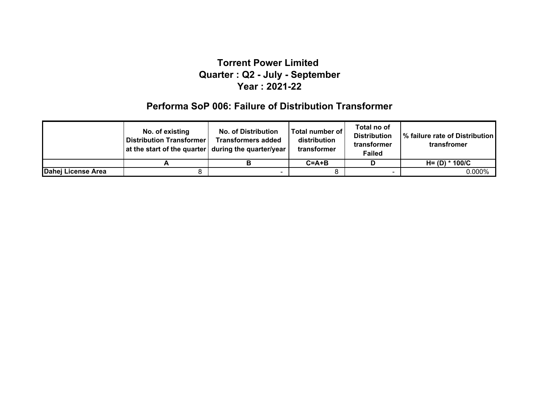#### **Performa SoP 006: Failure of Distribution Transformer**

|                    | No. of existing<br><b>Distribution Transformer</b><br>at the start of the quarter during the quarter/year | <b>No. of Distribution</b><br><b>Transformers added</b> | Total number of  <br>distribution<br>transformer | Total no of<br><b>Distribution</b><br>transformer<br><b>Failed</b> | 1% failure rate of Distribution<br>transfromer |
|--------------------|-----------------------------------------------------------------------------------------------------------|---------------------------------------------------------|--------------------------------------------------|--------------------------------------------------------------------|------------------------------------------------|
|                    |                                                                                                           |                                                         | $C = A + B$                                      |                                                                    | H= (D) * 100/C                                 |
| Dahej License Area |                                                                                                           |                                                         |                                                  |                                                                    | $0.000\%$                                      |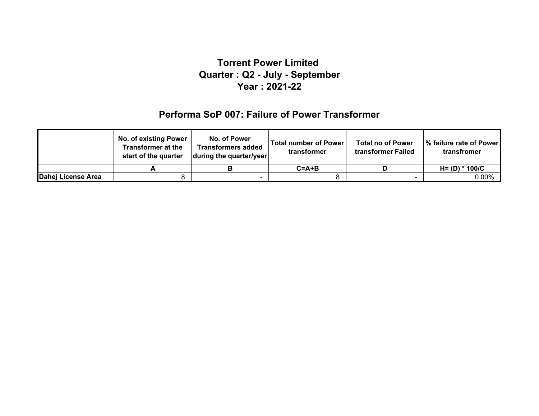#### **Performa SoP 007: Failure of Power Transformer**

|                    | No. of existing Power<br><b>Transformer at the</b><br>start of the quarter | No. of Power<br><b>Transformers added</b><br>during the quarter/year | Total number of Power<br>transformer | <b>Total no of Power</b><br>transformer Failed | Ⅰ% failure rate of Power<br>transfromer |
|--------------------|----------------------------------------------------------------------------|----------------------------------------------------------------------|--------------------------------------|------------------------------------------------|-----------------------------------------|
|                    |                                                                            |                                                                      | $C = A + B$                          |                                                | $H = (D) * 100/C$                       |
| Dahej License Area |                                                                            |                                                                      |                                      |                                                | 0.00%                                   |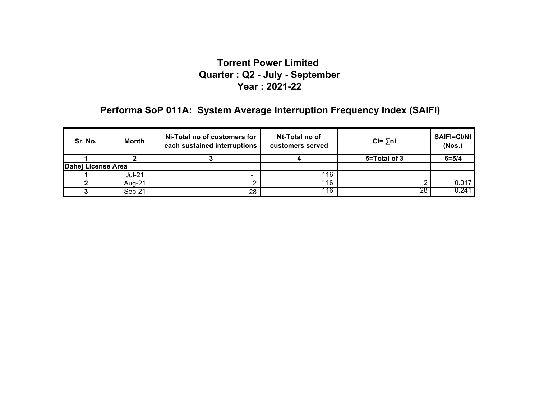## **Performa SoP 011A: System Average Interruption Frequency Index (SAIFI)**

| Sr. No.            | Month    | Ni-Total no of customers for<br>each sustained interruptions | Nt-Total no of<br>customers served | $CI = \sum n_i$ | SAIFI=CI/Nt<br>(Nos.) |
|--------------------|----------|--------------------------------------------------------------|------------------------------------|-----------------|-----------------------|
|                    |          |                                                              |                                    | 5=Total of 3    | $6 = 5/4$             |
| Dahej License Area |          |                                                              |                                    |                 |                       |
|                    | $Jul-21$ |                                                              | 116                                | -               |                       |
|                    | Aua-21   |                                                              | 116                                |                 | 0.017                 |
|                    | Sep-21   | 28                                                           | 116                                | 28              | 0.241                 |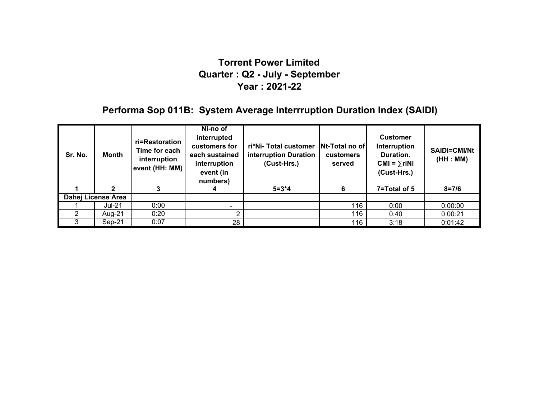## **Performa Sop 011B: System Average Interrruption Duration Index (SAIDI)**

| Sr. No. | Month              | ri=Restoration<br>Time for each<br>interruption<br>event (HH: MM) | Ni-no of<br>interrupted<br>customers for<br>each sustained<br>interruption<br>event (in<br>numbers) | ri*Ni-Total customer<br>interruption Duration<br>(Cust-Hrs.) | <b>Nt-Total no ofl</b><br><b>customers</b><br>served | <b>Customer</b><br>Interruption<br>Duration.<br>$CMI = \sum r i Ni$<br>(Cust-Hrs.) | <b>SAIDI=CMI/Nt</b><br>(HH : MM) |
|---------|--------------------|-------------------------------------------------------------------|-----------------------------------------------------------------------------------------------------|--------------------------------------------------------------|------------------------------------------------------|------------------------------------------------------------------------------------|----------------------------------|
|         |                    |                                                                   |                                                                                                     | $5 = 3*4$                                                    | 6                                                    | 7=Total of 5                                                                       | $8 = 7/6$                        |
|         | Dahej License Area |                                                                   |                                                                                                     |                                                              |                                                      |                                                                                    |                                  |
|         | Jul-21             | 0:00                                                              |                                                                                                     |                                                              | 116                                                  | 0:00                                                                               | 0:00:00                          |
|         | Aug-21             | 0:20                                                              |                                                                                                     |                                                              | 116                                                  | 0:40                                                                               | 0:00:21                          |
|         | Sep-21             | 0:07                                                              | 28                                                                                                  |                                                              | 116                                                  | 3:18                                                                               | 0:01:42                          |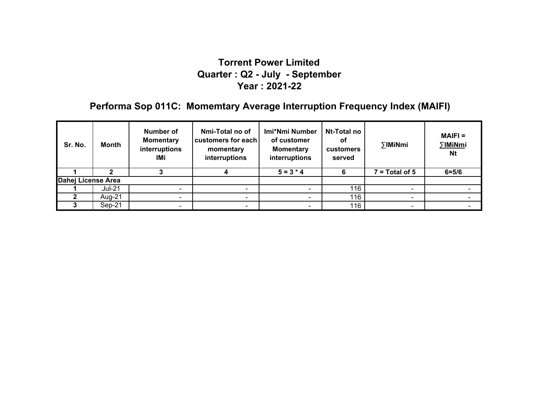## **Performa Sop 011C: Momemtary Average Interruption Frequency Index (MAIFI)**

| Sr. No.            | Month    | Number of<br><b>Momentary</b><br>interruptions<br>IMi | Nmi-Total no of<br>customers for each<br>momentary<br>interruptions | Imi*Nmi Number<br>of customer<br><b>Momentary</b><br>interruptions | Nt-Total no<br>оf<br><b>customers</b><br>served | ∑IMiNmi          | $MAIFI =$<br>∑IMiNmi<br><b>Nt</b> |
|--------------------|----------|-------------------------------------------------------|---------------------------------------------------------------------|--------------------------------------------------------------------|-------------------------------------------------|------------------|-----------------------------------|
|                    |          |                                                       |                                                                     | $5 = 3 * 4$                                                        |                                                 | $7 = Total of 5$ | $6 = 5/6$                         |
| Dahej License Area |          |                                                       |                                                                     |                                                                    |                                                 |                  |                                   |
|                    | Jul-21   |                                                       |                                                                     |                                                                    | 116                                             |                  |                                   |
|                    | Aug-21   | $\sim$                                                | $\sim$                                                              | $\overline{\phantom{0}}$                                           | 116                                             | $\blacksquare$   |                                   |
|                    | $Sep-21$ |                                                       |                                                                     |                                                                    | 116                                             |                  |                                   |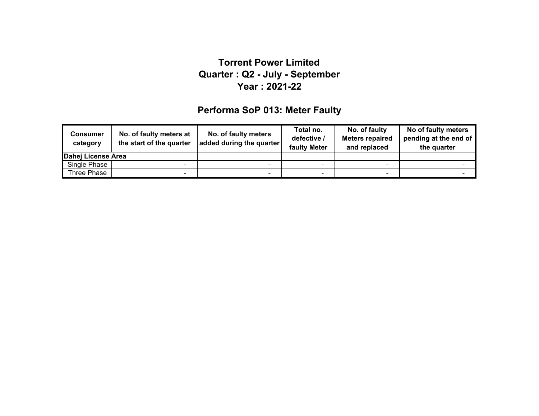## **Performa SoP 013: Meter Faulty**

| <b>Consumer</b><br>category | No. of faulty meters at<br>the start of the quarter | No. of faulty meters<br>added during the quarter | Total no.<br>defective /<br>faulty Meter | No. of faulty<br><b>Meters repaired</b><br>and replaced | No of faulty meters<br>pending at the end of<br>the quarter |
|-----------------------------|-----------------------------------------------------|--------------------------------------------------|------------------------------------------|---------------------------------------------------------|-------------------------------------------------------------|
| Dahej License Area          |                                                     |                                                  |                                          |                                                         |                                                             |
| Single Phase                | -                                                   | -                                                |                                          |                                                         |                                                             |
| Three Phase                 | - 1                                                 | $\blacksquare$                                   |                                          |                                                         |                                                             |